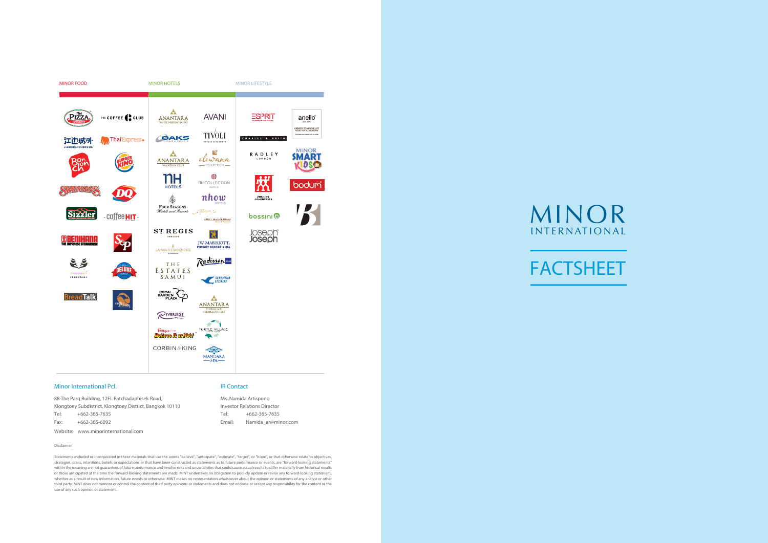

#### Minor International Pcl.

88 The Parq Building, 12Fl. Ratchadaphisek Road, Klongtoey Subdistrict, Klongtoey District, Bangkok 10110 Tel: +662-365-7635 Fax: +662-365-6092

Website: www.minorinternational.com

#### IR Contact

Ms. Namida Artispong Investor Relations Director Tel: +662-365-7635 Email: Namida\_ar@minor.com

# MINOR INTERNATIONAL



Disclaimer:

Statements included or incorporated in these materials that use the words "believe", "anticipate", "estimate", "target", or "hope", or that otherwise relate to objectives, strategies, plans, intentions, beliefs or expectations or that have been constructed as statements as to future performance or events, are "forward-looking statements" within the meaning are not guarantees of future performance and involve risks and uncertainties that could cause actual results to differ materially from historical results or those anticipated at the time the forward-looking statements are made. MINT undertakes no obligation to publicly update or revise any forward-looking statement, whether as a result of new information, future events or otherwise. MINT makes no representation whatsoever about the opinion or statements of any analyst or other third party. MINT does not monitor or control the content of third party opinions or statements and does not endorse or accept any responsibility for the content or the use of any such opinion or statement.

# FACTSHEET